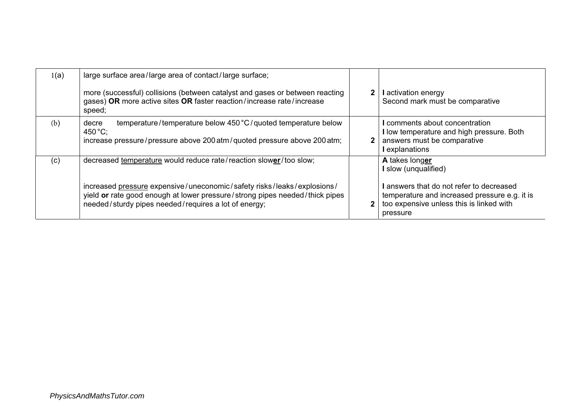| 1(a) | large surface area/large area of contact/large surface;                                                                                                                                                       |              |                                                                                                                                                   |
|------|---------------------------------------------------------------------------------------------------------------------------------------------------------------------------------------------------------------|--------------|---------------------------------------------------------------------------------------------------------------------------------------------------|
|      | more (successful) collisions (between catalyst and gases or between reacting<br>gases) OR more active sites OR faster reaction/increase rate/increase<br>speed;                                               | $\mathbf{2}$ | I activation energy<br>Second mark must be comparative                                                                                            |
| (b)  | temperature/temperature below 450 °C/quoted temperature below<br>decre<br>450 °C<br>increase pressure/pressure above 200 atm/quoted pressure above 200 atm;                                                   |              | comments about concentration<br>I low temperature and high pressure. Both<br>answers must be comparative<br><b>I</b> explanations                 |
| (c)  | decreased temperature would reduce rate/reaction slower/too slow;                                                                                                                                             |              | A takes longer<br>I slow (unqualified)                                                                                                            |
|      | increased pressure expensive/uneconomic/safety risks/leaks/explosions/<br>yield or rate good enough at lower pressure/strong pipes needed/thick pipes<br>needed/sturdy pipes needed/requires a lot of energy; |              | I answers that do not refer to decreased<br>temperature and increased pressure e.g. it is<br>too expensive unless this is linked with<br>pressure |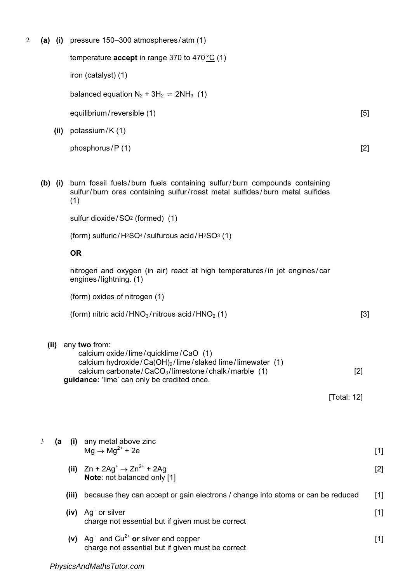2 **(a) (i)** pressure 150–300 atmospheres/atm (1)

| $(a)$ $(i)$ | pressure 150-300 atmospheres/atm (1)                                                                                                                                                                                                               |             |
|-------------|----------------------------------------------------------------------------------------------------------------------------------------------------------------------------------------------------------------------------------------------------|-------------|
|             | temperature <b>accept</b> in range 370 to 470 $^{\circ}$ C (1)                                                                                                                                                                                     |             |
|             | iron (catalyst) (1)                                                                                                                                                                                                                                |             |
|             | balanced equation $N_2 + 3H_2 \rightleftharpoons 2NH_3$ (1)                                                                                                                                                                                        |             |
|             | equilibrium/reversible (1)                                                                                                                                                                                                                         | [5]         |
| (i)         | potassium/K(1)                                                                                                                                                                                                                                     |             |
|             | phosphorus/P(1)                                                                                                                                                                                                                                    | $[2]$       |
|             |                                                                                                                                                                                                                                                    |             |
| $(b)$ (i)   | burn fossil fuels/burn fuels containing sulfur/burn compounds containing<br>sulfur/burn ores containing sulfur/roast metal sulfides/burn metal sulfides<br>(1)                                                                                     |             |
|             | sulfur dioxide/SO <sub>2</sub> (formed) (1)                                                                                                                                                                                                        |             |
|             | (form) sulfuric/H <sub>2</sub> SO <sub>4</sub> /sulfurous acid/H <sub>2</sub> SO <sub>3</sub> (1)                                                                                                                                                  |             |
|             | <b>OR</b>                                                                                                                                                                                                                                          |             |
|             | nitrogen and oxygen (in air) react at high temperatures/in jet engines/car<br>engines/lightning. (1)                                                                                                                                               |             |
|             | (form) oxides of nitrogen (1)                                                                                                                                                                                                                      |             |
|             | (form) nitric acid/HNO <sub>3</sub> /nitrous acid/HNO <sub>2</sub> (1)                                                                                                                                                                             | $[3]$       |
| (ii)        | any two from:<br>calcium oxide/lime/quicklime/CaO (1)<br>calcium hydroxide/Ca(OH) <sub>2</sub> /lime/slaked lime/limewater (1)<br>calcium carbonate/CaCO <sub>3</sub> /limestone/chalk/marble $(1)$<br>guidance: 'lime' can only be credited once. | $[2]$       |
|             |                                                                                                                                                                                                                                                    | [Total: 12] |
|             |                                                                                                                                                                                                                                                    |             |
|             |                                                                                                                                                                                                                                                    |             |
| 3<br>(a     | (i) any metal above zinc<br>$Mg \rightarrow Mg^{2+} + 2e$                                                                                                                                                                                          | $[1]$       |

- [2]  $[1]$ (ii)  $Zn + 2Ag^+ \rightarrow Zn^{2+} + 2Ag$ Note: not balanced only [1] (iii) because they can accept or gain electrons / change into atoms or can be reduced
- [1] [1] (iv) Ag<sup>+</sup> or silver charge not essential but if given must be correct
- (v)  $\text{Ag}^+$  and Cu<sup>2+</sup> or silver and copper charge not essential but if given must be correct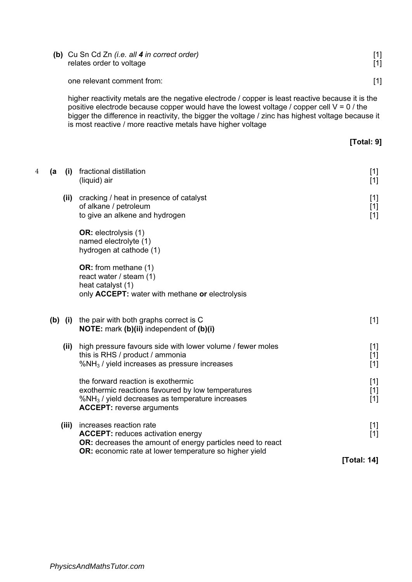|   |    |           | one relevant comment from:                                                                                                                                                                                                                                                                                                                                          | $[1]$                   |
|---|----|-----------|---------------------------------------------------------------------------------------------------------------------------------------------------------------------------------------------------------------------------------------------------------------------------------------------------------------------------------------------------------------------|-------------------------|
|   |    |           | higher reactivity metals are the negative electrode / copper is least reactive because it is the<br>positive electrode because copper would have the lowest voltage / copper cell $V = 0$ / the<br>bigger the difference in reactivity, the bigger the voltage / zinc has highest voltage because it<br>is most reactive / more reactive metals have higher voltage |                         |
|   |    |           |                                                                                                                                                                                                                                                                                                                                                                     | [Total: 9]              |
| 4 | (a | (i)       | fractional distillation<br>(liquid) air                                                                                                                                                                                                                                                                                                                             | $[1]$<br>$[1]$          |
|   |    |           | (ii) cracking / heat in presence of catalyst<br>of alkane / petroleum<br>to give an alkene and hydrogen                                                                                                                                                                                                                                                             | $[1]$<br>$[1]$<br>$[1]$ |
|   |    |           | <b>OR:</b> electrolysis (1)<br>named electrolyte (1)<br>hydrogen at cathode (1)                                                                                                                                                                                                                                                                                     |                         |
|   |    |           | <b>OR:</b> from methane (1)<br>react water / steam (1)<br>heat catalyst (1)<br>only ACCEPT: water with methane or electrolysis                                                                                                                                                                                                                                      |                         |
|   |    | $(b)$ (i) | the pair with both graphs correct is C<br>NOTE: mark (b)(ii) independent of (b)(i)                                                                                                                                                                                                                                                                                  | $[1]$                   |
|   |    | (ii)      | high pressure favours side with lower volume / fewer moles<br>this is RHS / product / ammonia<br>$%NH3$ / yield increases as pressure increases                                                                                                                                                                                                                     | $[1]$<br>$[1]$<br>$[1]$ |
|   |    |           | the forward reaction is exothermic<br>exothermic reactions favoured by low temperatures<br>$%NH3$ / yield decreases as temperature increases<br><b>ACCEPT: reverse arguments</b>                                                                                                                                                                                    | $[1]$<br>$[1]$<br>$[1]$ |
|   |    | (iii)     | increases reaction rate<br><b>ACCEPT:</b> reduces activation energy<br>OR: decreases the amount of energy particles need to react                                                                                                                                                                                                                                   | $[1]$<br>$[1]$          |
|   |    |           | OR: economic rate at lower temperature so higher yield                                                                                                                                                                                                                                                                                                              | [Total: 14]             |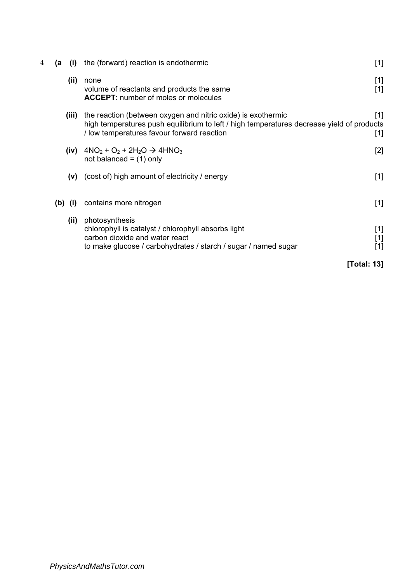| 4 | (a | (i)       | the (forward) reaction is endothermic                                                                                                                                                                   | $[1]$                   |
|---|----|-----------|---------------------------------------------------------------------------------------------------------------------------------------------------------------------------------------------------------|-------------------------|
|   |    | (ii)      | none<br>volume of reactants and products the same<br><b>ACCEPT:</b> number of moles or molecules                                                                                                        | $[1]$<br>$[1]$          |
|   |    | (iii)     | the reaction (between oxygen and nitric oxide) is exothermic<br>high temperatures push equilibrium to left / high temperatures decrease yield of products<br>/ low temperatures favour forward reaction | $[1]$<br>$[1]$          |
|   |    | (iv)      | $4NO2 + O2 + 2H2O \rightarrow 4HNO3$<br>not balanced = $(1)$ only                                                                                                                                       | $[2]$                   |
|   |    | (v)       | (cost of) high amount of electricity / energy                                                                                                                                                           | $[1]$                   |
|   |    | $(b)$ (i) | contains more nitrogen                                                                                                                                                                                  | $[1]$                   |
|   |    | (ii)      | photosynthesis<br>chlorophyll is catalyst / chlorophyll absorbs light<br>carbon dioxide and water react<br>to make glucose / carbohydrates / starch / sugar / named sugar                               | $[1]$<br>$[1]$<br>$[1]$ |
|   |    |           | [Total: 13]                                                                                                                                                                                             |                         |